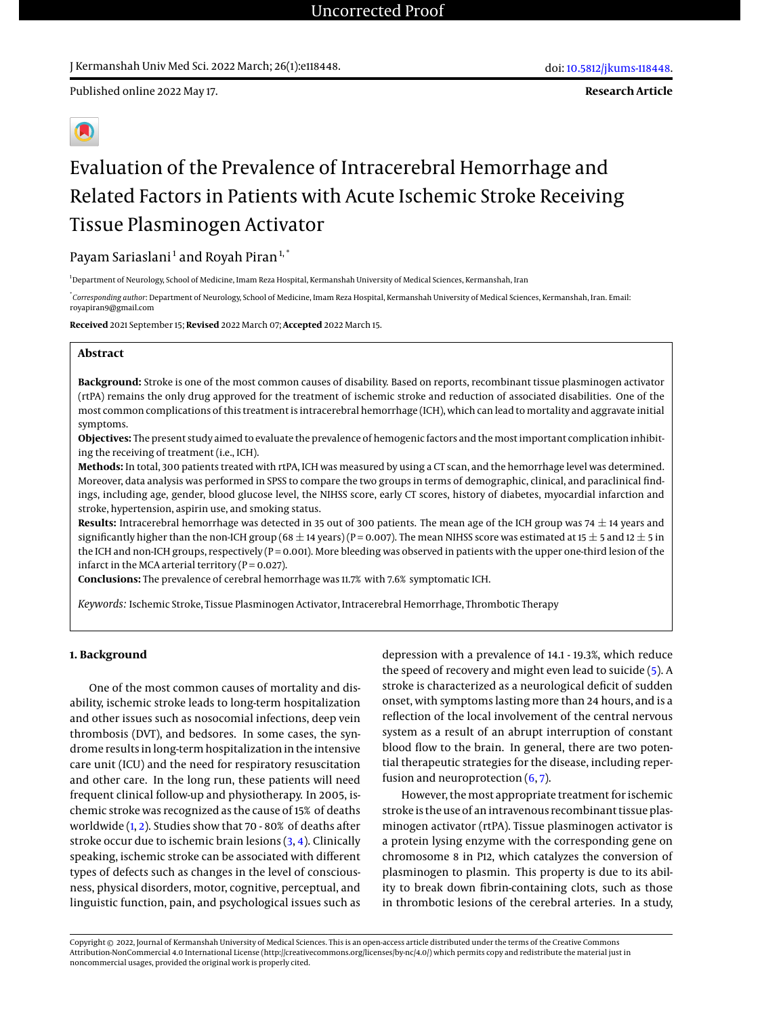J Kermanshah Univ Med Sci. 2022 March; 26(1):e118448.

**Research Article**

# Evaluation of the Prevalence of Intracerebral Hemorrhage and Related Factors in Patients with Acute Ischemic Stroke Receiving Tissue Plasminogen Activator

## Payam Sariaslani<sup>1</sup> and Royah Piran<sup>1,\*</sup>

<sup>1</sup> Department of Neurology, School of Medicine, Imam Reza Hospital, Kermanshah University of Medical Sciences, Kermanshah, Iran

\* *Corresponding author*: Department of Neurology, School of Medicine, Imam Reza Hospital, Kermanshah University of Medical Sciences, Kermanshah, Iran. Email: royapiran9@gmail.com

**Received** 2021 September 15; **Revised** 2022 March 07; **Accepted** 2022 March 15.

#### **Abstract**

**Background:** Stroke is one of the most common causes of disability. Based on reports, recombinant tissue plasminogen activator (rtPA) remains the only drug approved for the treatment of ischemic stroke and reduction of associated disabilities. One of the most common complications of this treatment is intracerebral hemorrhage (ICH), which can lead to mortality and aggravate initial symptoms.

**Objectives:** The present study aimed to evaluate the prevalence of hemogenic factors and the most important complication inhibiting the receiving of treatment (i.e., ICH).

**Methods:** In total, 300 patients treated with rtPA, ICH was measured by using a CT scan, and the hemorrhage level was determined. Moreover, data analysis was performed in SPSS to compare the two groups in terms of demographic, clinical, and paraclinical findings, including age, gender, blood glucose level, the NIHSS score, early CT scores, history of diabetes, myocardial infarction and stroke, hypertension, aspirin use, and smoking status.

Results: Intracerebral hemorrhage was detected in 35 out of 300 patients. The mean age of the ICH group was 74  $\pm$  14 years and significantly higher than the non-ICH group (68  $\pm$  14 years) (P = 0.007). The mean NIHSS score was estimated at 15  $\pm$  5 and 12  $\pm$  5 in the ICH and non-ICH groups, respectively (P = 0.001). More bleeding was observed in patients with the upper one-third lesion of the infarct in the MCA arterial territory ( $P = 0.027$ ).

**Conclusions:** The prevalence of cerebral hemorrhage was 11.7% with 7.6% symptomatic ICH.

*Keywords:* Ischemic Stroke, Tissue Plasminogen Activator, Intracerebral Hemorrhage, Thrombotic Therapy

### **1. Background**

One of the most common causes of mortality and disability, ischemic stroke leads to long-term hospitalization and other issues such as nosocomial infections, deep vein thrombosis (DVT), and bedsores. In some cases, the syndrome results in long-term hospitalization in the intensive care unit (ICU) and the need for respiratory resuscitation and other care. In the long run, these patients will need frequent clinical follow-up and physiotherapy. In 2005, ischemic stroke was recognized as the cause of 15% of deaths worldwide [\(1,](#page-3-0) [2\)](#page-3-1). Studies show that 70 - 80% of deaths after stroke occur due to ischemic brain lesions [\(3,](#page-3-2) [4\)](#page-3-3). Clinically speaking, ischemic stroke can be associated with different types of defects such as changes in the level of consciousness, physical disorders, motor, cognitive, perceptual, and linguistic function, pain, and psychological issues such as

depression with a prevalence of 14.1 - 19.3%, which reduce the speed of recovery and might even lead to suicide [\(5\)](#page-3-4). A stroke is characterized as a neurological deficit of sudden onset, with symptoms lasting more than 24 hours, and is a reflection of the local involvement of the central nervous system as a result of an abrupt interruption of constant blood flow to the brain. In general, there are two potential therapeutic strategies for the disease, including reperfusion and neuroprotection  $(6, 7)$  $(6, 7)$  $(6, 7)$ .

However, the most appropriate treatment for ischemic stroke is the use of an intravenous recombinant tissue plasminogen activator (rtPA). Tissue plasminogen activator is a protein lysing enzyme with the corresponding gene on chromosome 8 in P12, which catalyzes the conversion of plasminogen to plasmin. This property is due to its ability to break down fibrin-containing clots, such as those in thrombotic lesions of the cerebral arteries. In a study,

Copyright © 2022, Journal of Kermanshah University of Medical Sciences. This is an open-access article distributed under the terms of the Creative Commons Attribution-NonCommercial 4.0 International License (http://creativecommons.org/licenses/by-nc/4.0/) which permits copy and redistribute the material just in noncommercial usages, provided the original work is properly cited.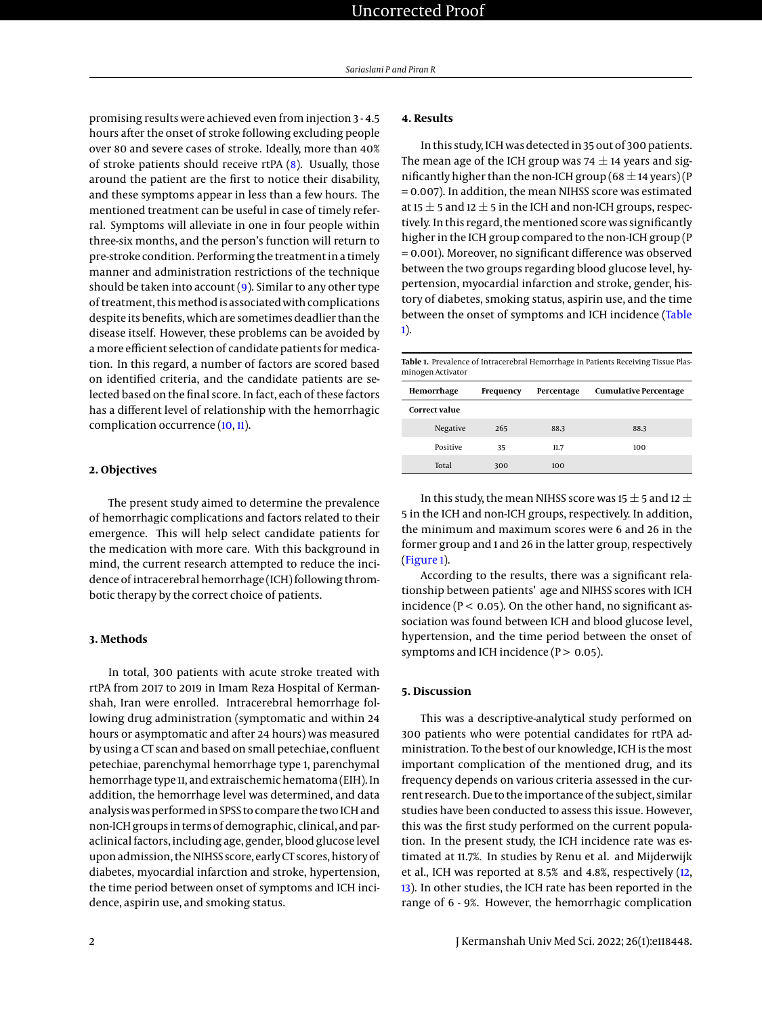promising results were achieved even from injection 3 - 4.5 hours after the onset of stroke following excluding people over 80 and severe cases of stroke. Ideally, more than 40% of stroke patients should receive rtPA [\(8\)](#page-4-0). Usually, those around the patient are the first to notice their disability, and these symptoms appear in less than a few hours. The mentioned treatment can be useful in case of timely referral. Symptoms will alleviate in one in four people within three-six months, and the person's function will return to pre-stroke condition. Performing the treatment in a timely manner and administration restrictions of the technique should be taken into account  $(9)$ . Similar to any other type of treatment, this method is associated with complications despite its benefits, which are sometimes deadlier than the disease itself. However, these problems can be avoided by a more efficient selection of candidate patients for medication. In this regard, a number of factors are scored based on identified criteria, and the candidate patients are selected based on the final score. In fact, each of these factors has a different level of relationship with the hemorrhagic complication occurrence [\(10,](#page-4-2) [11\)](#page-4-3).

#### **2. Objectives**

The present study aimed to determine the prevalence of hemorrhagic complications and factors related to their emergence. This will help select candidate patients for the medication with more care. With this background in mind, the current research attempted to reduce the incidence of intracerebral hemorrhage (ICH) following thrombotic therapy by the correct choice of patients.

#### **3. Methods**

In total, 300 patients with acute stroke treated with rtPA from 2017 to 2019 in Imam Reza Hospital of Kermanshah, Iran were enrolled. Intracerebral hemorrhage following drug administration (symptomatic and within 24 hours or asymptomatic and after 24 hours) was measured by using a CT scan and based on small petechiae, confluent petechiae, parenchymal hemorrhage type 1, parenchymal hemorrhage type 11, and extraischemic hematoma (EIH). In addition, the hemorrhage level was determined, and data analysis was performed in SPSS to compare the two ICH and non-ICH groups in terms of demographic, clinical, and paraclinical factors, including age, gender, blood glucose level upon admission, the NIHSS score, early CT scores, history of diabetes, myocardial infarction and stroke, hypertension, the time period between onset of symptoms and ICH incidence, aspirin use, and smoking status.

In this study, ICH was detected in 35 out of 300 patients. The mean age of the ICH group was 74  $\pm$  14 years and significantly higher than the non-ICH group (68  $\pm$  14 years) (P = 0.007). In addition, the mean NIHSS score was estimated at 15  $\pm$  5 and 12  $\pm$  5 in the ICH and non-ICH groups, respectively. In this regard, the mentioned score was significantly higher in the ICH group compared to the non-ICH group (P = 0.001). Moreover, no significant difference was observed between the two groups regarding blood glucose level, hypertension, myocardial infarction and stroke, gender, history of diabetes, smoking status, aspirin use, and the time between the onset of symptoms and ICH incidence [\(Table](#page-1-0) [1\)](#page-1-0).

<span id="page-1-0"></span>**Table 1.** Prevalence of Intracerebral Hemorrhage in Patients Receiving Tissue Plasminogen Activator

| Hemorrhage           | Frequency | Percentage | <b>Cumulative Percentage</b> |
|----------------------|-----------|------------|------------------------------|
| <b>Correct value</b> |           |            |                              |
| Negative             | 265       | 88.3       | 88.3                         |
| Positive             | 35        | 11.7       | 100                          |
| Total                | 300       | 100        |                              |

In this study, the mean NIHSS score was 15  $\pm$  5 and 12  $\pm$ 5 in the ICH and non-ICH groups, respectively. In addition, the minimum and maximum scores were 6 and 26 in the former group and 1 and 26 in the latter group, respectively [\(Figure 1\)](#page-2-0).

According to the results, there was a significant relationship between patients' age and NIHSS scores with ICH incidence ( $P < 0.05$ ). On the other hand, no significant association was found between ICH and blood glucose level, hypertension, and the time period between the onset of symptoms and ICH incidence ( $P > 0.05$ ).

#### **5. Discussion**

This was a descriptive-analytical study performed on 300 patients who were potential candidates for rtPA administration. To the best of our knowledge, ICH is the most important complication of the mentioned drug, and its frequency depends on various criteria assessed in the current research. Due to the importance of the subject, similar studies have been conducted to assess this issue. However, this was the first study performed on the current population. In the present study, the ICH incidence rate was estimated at 11.7%. In studies by Renu et al. and Mijderwijk et al., ICH was reported at 8.5% and 4.8%, respectively [\(12,](#page-4-4) [13\)](#page-4-5). In other studies, the ICH rate has been reported in the range of 6 - 9%. However, the hemorrhagic complication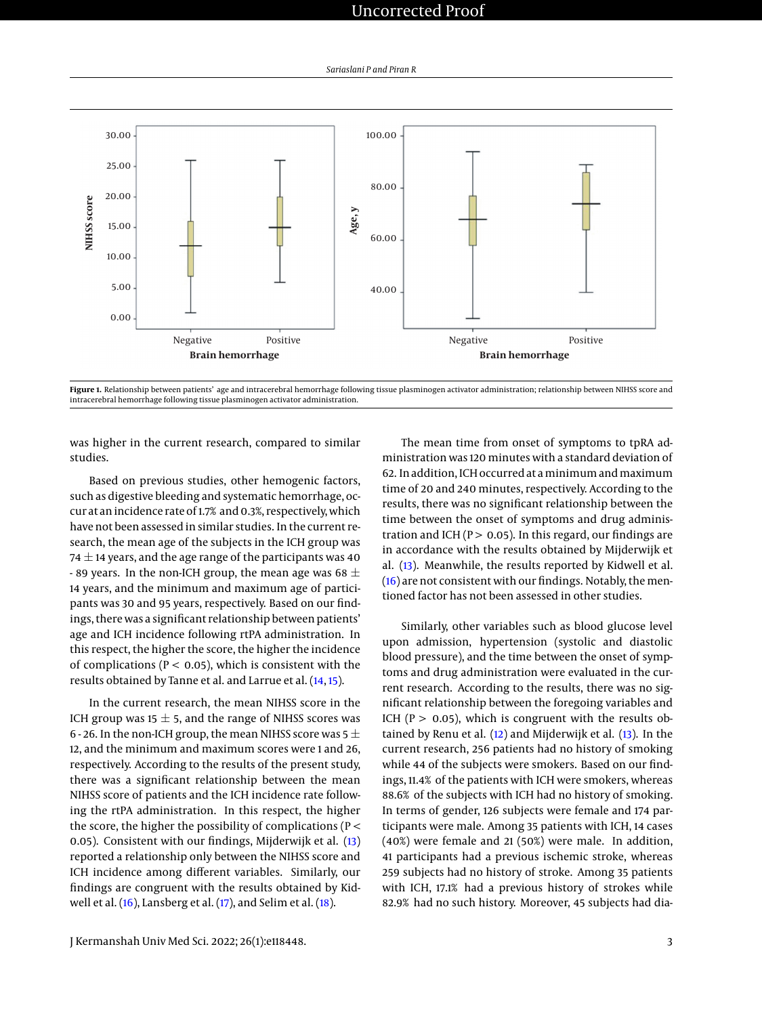# Uncorrected Proof

<span id="page-2-0"></span>

Figure 1. Relationship between patients' age and intracerebral hemorrhage following tissue plasminogen activator administration; relationship between NIHSS score and intracerebral hemorrhage following tissue plasminogen activator administration.

was higher in the current research, compared to similar studies.

Based on previous studies, other hemogenic factors, such as digestive bleeding and systematic hemorrhage, occur at an incidence rate of 1.7% and 0.3%, respectively, which have not been assessed in similar studies. In the current research, the mean age of the subjects in the ICH group was 74  $\pm$  14 years, and the age range of the participants was 40 - 89 years. In the non-ICH group, the mean age was 68  $\pm$ 14 years, and the minimum and maximum age of participants was 30 and 95 years, respectively. Based on our findings, there was a significant relationship between patients' age and ICH incidence following rtPA administration. In this respect, the higher the score, the higher the incidence of complications ( $P < 0.05$ ), which is consistent with the results obtained by Tanne et al. and Larrue et al. [\(14,](#page-4-6) [15\)](#page-4-7).

In the current research, the mean NIHSS score in the ICH group was 15  $\pm$  5, and the range of NIHSS scores was 6 - 26. In the non-ICH group, the mean NIHSS score was  $5 \pm$ 12, and the minimum and maximum scores were 1 and 26, respectively. According to the results of the present study, there was a significant relationship between the mean NIHSS score of patients and the ICH incidence rate following the rtPA administration. In this respect, the higher the score, the higher the possibility of complications (P < 0.05). Consistent with our findings, Mijderwijk et al. [\(13\)](#page-4-5) reported a relationship only between the NIHSS score and ICH incidence among different variables. Similarly, our findings are congruent with the results obtained by Kidwell et al.  $(16)$ , Lansberg et al.  $(17)$ , and Selim et al.  $(18)$ .

The mean time from onset of symptoms to tpRA administration was 120 minutes with a standard deviation of 62. In addition, ICH occurred at aminimum andmaximum time of 20 and 240 minutes, respectively. According to the results, there was no significant relationship between the time between the onset of symptoms and drug administration and ICH ( $P > 0.05$ ). In this regard, our findings are in accordance with the results obtained by Mijderwijk et al. [\(13\)](#page-4-5). Meanwhile, the results reported by Kidwell et al. [\(16\)](#page-4-8) are not consistent with our findings. Notably, the mentioned factor has not been assessed in other studies.

Similarly, other variables such as blood glucose level upon admission, hypertension (systolic and diastolic blood pressure), and the time between the onset of symptoms and drug administration were evaluated in the current research. According to the results, there was no significant relationship between the foregoing variables and ICH ( $P > 0.05$ ), which is congruent with the results obtained by Renu et al.  $(12)$  and Mijderwijk et al.  $(13)$ . In the current research, 256 patients had no history of smoking while 44 of the subjects were smokers. Based on our findings, 11.4% of the patients with ICH were smokers, whereas 88.6% of the subjects with ICH had no history of smoking. In terms of gender, 126 subjects were female and 174 participants were male. Among 35 patients with ICH, 14 cases (40%) were female and 21 (50%) were male. In addition, 41 participants had a previous ischemic stroke, whereas 259 subjects had no history of stroke. Among 35 patients with ICH, 17.1% had a previous history of strokes while 82.9% had no such history. Moreover, 45 subjects had dia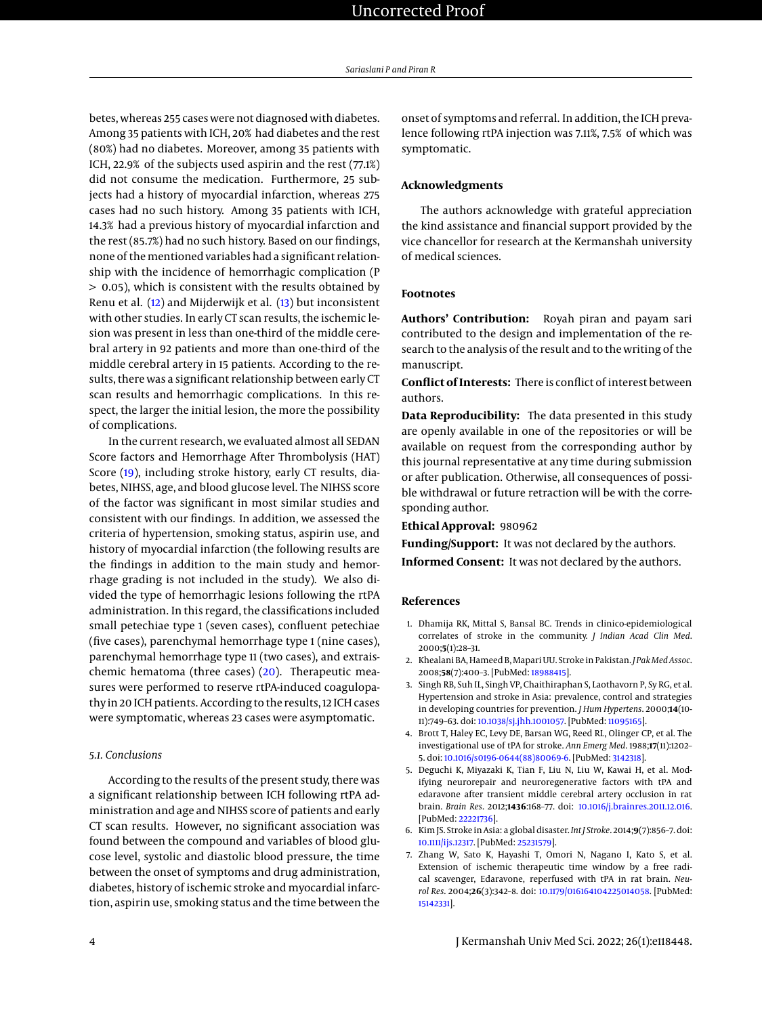betes, whereas 255 cases were not diagnosed with diabetes. Among 35 patients with ICH, 20% had diabetes and the rest (80%) had no diabetes. Moreover, among 35 patients with ICH, 22.9% of the subjects used aspirin and the rest (77.1%) did not consume the medication. Furthermore, 25 subjects had a history of myocardial infarction, whereas 275 cases had no such history. Among 35 patients with ICH, 14.3% had a previous history of myocardial infarction and the rest (85.7%) had no such history. Based on our findings, none of the mentioned variables had a significant relationship with the incidence of hemorrhagic complication (P > 0.05), which is consistent with the results obtained by Renu et al. [\(12\)](#page-4-4) and Mijderwijk et al. [\(13\)](#page-4-5) but inconsistent with other studies. In early CT scan results, the ischemic lesion was present in less than one-third of the middle cerebral artery in 92 patients and more than one-third of the middle cerebral artery in 15 patients. According to the results, there was a significant relationship between early CT scan results and hemorrhagic complications. In this respect, the larger the initial lesion, the more the possibility of complications.

In the current research, we evaluated almost all SEDAN Score factors and Hemorrhage After Thrombolysis (HAT) Score [\(19\)](#page-4-11), including stroke history, early CT results, diabetes, NIHSS, age, and blood glucose level. The NIHSS score of the factor was significant in most similar studies and consistent with our findings. In addition, we assessed the criteria of hypertension, smoking status, aspirin use, and history of myocardial infarction (the following results are the findings in addition to the main study and hemorrhage grading is not included in the study). We also divided the type of hemorrhagic lesions following the rtPA administration. In this regard, the classifications included small petechiae type 1 (seven cases), confluent petechiae (five cases), parenchymal hemorrhage type 1 (nine cases), parenchymal hemorrhage type 11 (two cases), and extraischemic hematoma (three cases) [\(20\)](#page-4-12). Therapeutic measures were performed to reserve rtPA-induced coagulopathy in 20 ICH patients. According to the results, 12 ICH cases were symptomatic, whereas 23 cases were asymptomatic.

#### *5.1. Conclusions*

According to the results of the present study, there was a significant relationship between ICH following rtPA administration and age and NIHSS score of patients and early CT scan results. However, no significant association was found between the compound and variables of blood glucose level, systolic and diastolic blood pressure, the time between the onset of symptoms and drug administration, diabetes, history of ischemic stroke and myocardial infarction, aspirin use, smoking status and the time between the onset of symptoms and referral. In addition, the ICH prevalence following rtPA injection was 7.11%, 7.5% of which was symptomatic.

#### **Acknowledgments**

The authors acknowledge with grateful appreciation the kind assistance and financial support provided by the vice chancellor for research at the Kermanshah university of medical sciences.

#### **Footnotes**

**Authors' Contribution:** Royah piran and payam sari contributed to the design and implementation of the research to the analysis of the result and to the writing of the manuscript.

**Conflict of Interests:** There is conflict of interest between authors.

**Data Reproducibility:** The data presented in this study are openly available in one of the repositories or will be available on request from the corresponding author by this journal representative at any time during submission or after publication. Otherwise, all consequences of possible withdrawal or future retraction will be with the corresponding author.

**Ethical Approval:** 980962

**Funding/Support:** It was not declared by the authors.

**Informed Consent:** It was not declared by the authors.

#### **References**

- <span id="page-3-0"></span>1. Dhamija RK, Mittal S, Bansal BC. Trends in clinico-epidemiological correlates of stroke in the community. *J Indian Acad Clin Med*. 2000;**5**(1):28–31.
- <span id="page-3-1"></span>2. Khealani BA, Hameed B, Mapari UU. Stroke in Pakistan. *J Pak Med Assoc*. 2008;**58**(7):400–3. [PubMed: [18988415\]](http://www.ncbi.nlm.nih.gov/pubmed/18988415).
- <span id="page-3-2"></span>3. Singh RB, Suh IL, Singh VP, Chaithiraphan S, Laothavorn P, Sy RG, et al. Hypertension and stroke in Asia: prevalence, control and strategies in developing countries for prevention. *J Hum Hypertens*. 2000;**14**(10- 11):749–63. doi: [10.1038/sj.jhh.1001057.](http://dx.doi.org/10.1038/sj.jhh.1001057) [PubMed: [11095165\]](http://www.ncbi.nlm.nih.gov/pubmed/11095165).
- <span id="page-3-3"></span>4. Brott T, Haley EC, Levy DE, Barsan WG, Reed RL, Olinger CP, et al. The investigational use of tPA for stroke. *Ann Emerg Med*. 1988;**17**(11):1202– 5. doi: [10.1016/s0196-0644\(88\)80069-6.](http://dx.doi.org/10.1016/s0196-0644(88)80069-6) [PubMed: [3142318\]](http://www.ncbi.nlm.nih.gov/pubmed/3142318).
- <span id="page-3-4"></span>5. Deguchi K, Miyazaki K, Tian F, Liu N, Liu W, Kawai H, et al. Modifying neurorepair and neuroregenerative factors with tPA and edaravone after transient middle cerebral artery occlusion in rat brain. *Brain Res*. 2012;**1436**:168–77. doi: [10.1016/j.brainres.2011.12.016.](http://dx.doi.org/10.1016/j.brainres.2011.12.016) [PubMed: [22221736\]](http://www.ncbi.nlm.nih.gov/pubmed/22221736).
- <span id="page-3-5"></span>6. Kim JS. Stroke in Asia: a global disaster. *Int J Stroke*. 2014;**9**(7):856–7. doi: [10.1111/ijs.12317.](http://dx.doi.org/10.1111/ijs.12317) [PubMed: [25231579\]](http://www.ncbi.nlm.nih.gov/pubmed/25231579).
- <span id="page-3-6"></span>7. Zhang W, Sato K, Hayashi T, Omori N, Nagano I, Kato S, et al. Extension of ischemic therapeutic time window by a free radical scavenger, Edaravone, reperfused with tPA in rat brain. *Neurol Res*. 2004;**26**(3):342–8. doi: [10.1179/016164104225014058.](http://dx.doi.org/10.1179/016164104225014058) [PubMed: [15142331\]](http://www.ncbi.nlm.nih.gov/pubmed/15142331).